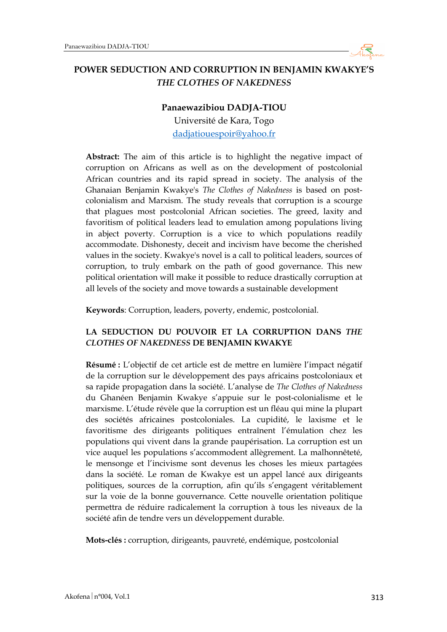

# **POWER SEDUCTION AND CORRUPTION IN BENJAMIN KWAKYE'S**  *THE CLOTHES OF NAKEDNESS*

#### **Panaewazibiou DADJA-TIOU**

Université de Kara, Togo dadjatiouespoir@yahoo.fr

**Abstract:** The aim of this article is to highlight the negative impact of corruption on Africans as well as on the development of postcolonial African countries and its rapid spread in society. The analysis of the Ghanaian Benjamin Kwakye's *The Clothes of Nakedness* is based on postcolonialism and Marxism. The study reveals that corruption is a scourge that plagues most postcolonial African societies. The greed, laxity and favoritism of political leaders lead to emulation among populations living in abject poverty. Corruption is a vice to which populations readily accommodate. Dishonesty, deceit and incivism have become the cherished values in the society. Kwakye's novel is a call to political leaders, sources of corruption, to truly embark on the path of good governance. This new political orientation will make it possible to reduce drastically corruption at all levels of the society and move towards a sustainable development

**Keywords**: Corruption, leaders, poverty, endemic, postcolonial.

#### **LA SEDUCTION DU POUVOIR ET LA CORRUPTION DANS** *THE CLOTHES OF NAKEDNESS* **DE BENJAMIN KWAKYE**

**Résumé :** L'objectif de cet article est de mettre en lumière l'impact négatif de la corruption sur le développement des pays africains postcoloniaux et sa rapide propagation dans la société. L'analyse de *The Clothes of Nakedness* du Ghanéen Benjamin Kwakye s'appuie sur le post-colonialisme et le marxisme. L'étude révèle que la corruption est un fléau qui mine la plupart des sociétés africaines postcoloniales. La cupidité, le laxisme et le favoritisme des dirigeants politiques entraînent l'émulation chez les populations qui vivent dans la grande paupérisation. La corruption est un vice auquel les populations s'accommodent allègrement. La malhonnêteté, le mensonge et l'incivisme sont devenus les choses les mieux partagées dans la société. Le roman de Kwakye est un appel lancé aux dirigeants politiques, sources de la corruption, afin qu'ils s'engagent véritablement sur la voie de la bonne gouvernance. Cette nouvelle orientation politique permettra de réduire radicalement la corruption à tous les niveaux de la société afin de tendre vers un développement durable.

**Mots-clés :** corruption, dirigeants, pauvreté, endémique, postcolonial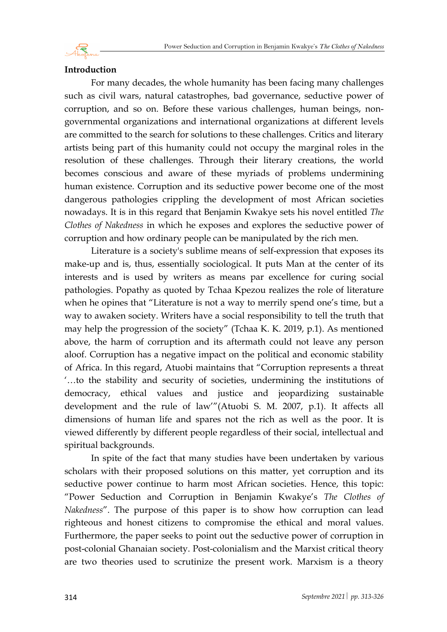

### **Introduction**

For many decades, the whole humanity has been facing many challenges such as civil wars, natural catastrophes, bad governance, seductive power of corruption, and so on. Before these various challenges, human beings, nongovernmental organizations and international organizations at different levels are committed to the search for solutions to these challenges. Critics and literary artists being part of this humanity could not occupy the marginal roles in the resolution of these challenges. Through their literary creations, the world becomes conscious and aware of these myriads of problems undermining human existence. Corruption and its seductive power become one of the most dangerous pathologies crippling the development of most African societies nowadays. It is in this regard that Benjamin Kwakye sets his novel entitled *The Clothes of Nakedness* in which he exposes and explores the seductive power of corruption and how ordinary people can be manipulated by the rich men.

Literature is a society's sublime means of self-expression that exposes its make-up and is, thus, essentially sociological. It puts Man at the center of its interests and is used by writers as means par excellence for curing social pathologies. Popathy as quoted by Tchaa Kpezou realizes the role of literature when he opines that "Literature is not a way to merrily spend one's time, but a way to awaken society. Writers have a social responsibility to tell the truth that may help the progression of the society" (Tchaa K. K. 2019, p.1). As mentioned above, the harm of corruption and its aftermath could not leave any person aloof. Corruption has a negative impact on the political and economic stability of Africa. In this regard, Atuobi maintains that "Corruption represents a threat '…to the stability and security of societies, undermining the institutions of democracy, ethical values and justice and jeopardizing sustainable development and the rule of law'"(Atuobi S. M. 2007, p.1). It affects all dimensions of human life and spares not the rich as well as the poor. It is viewed differently by different people regardless of their social, intellectual and spiritual backgrounds.

In spite of the fact that many studies have been undertaken by various scholars with their proposed solutions on this matter, yet corruption and its seductive power continue to harm most African societies. Hence, this topic: "Power Seduction and Corruption in Benjamin Kwakye's *The Clothes of Nakedness*". The purpose of this paper is to show how corruption can lead righteous and honest citizens to compromise the ethical and moral values. Furthermore, the paper seeks to point out the seductive power of corruption in post-colonial Ghanaian society. Post-colonialism and the Marxist critical theory are two theories used to scrutinize the present work. Marxism is a theory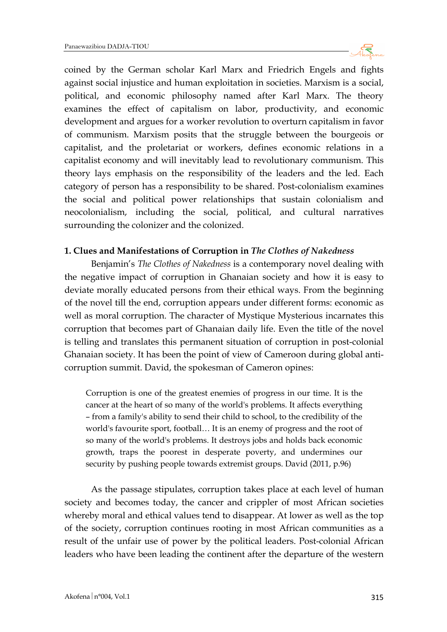

coined by the German scholar Karl Marx and Friedrich Engels and fights against social injustice and human exploitation in societies. Marxism is a social, political, and economic philosophy named after Karl Marx. The theory examines the effect of capitalism on labor, productivity, and economic development and argues for a worker revolution to overturn capitalism in favor of communism. Marxism posits that the struggle between the bourgeois or capitalist, and the proletariat or workers, defines economic relations in a capitalist economy and will inevitably lead to revolutionary communism. This theory lays emphasis on the responsibility of the leaders and the led. Each category of person has a responsibility to be shared. Post-colonialism examines the social and political power relationships that sustain colonialism and neocolonialism, including the social, political, and cultural narratives surrounding the colonizer and the colonized.

#### **1. Clues and Manifestations of Corruption in** *The Clothes of Nakedness*

Benjamin's *The Clothes of Nakedness* is a contemporary novel dealing with the negative impact of corruption in Ghanaian society and how it is easy to deviate morally educated persons from their ethical ways. From the beginning of the novel till the end, corruption appears under different forms: economic as well as moral corruption. The character of Mystique Mysterious incarnates this corruption that becomes part of Ghanaian daily life. Even the title of the novel is telling and translates this permanent situation of corruption in post-colonial Ghanaian society. It has been the point of view of Cameroon during global anticorruption summit. David, the spokesman of Cameron opines:

Corruption is one of the greatest enemies of progress in our time. It is the cancer at the heart of so many of the world's problems. It affects everything – from a family's ability to send their child to school, to the credibility of the world's favourite sport, football… It is an enemy of progress and the root of so many of the world's problems. It destroys jobs and holds back economic growth, traps the poorest in desperate poverty, and undermines our security by pushing people towards extremist groups. David (2011, p.96)

As the passage stipulates, corruption takes place at each level of human society and becomes today, the cancer and crippler of most African societies whereby moral and ethical values tend to disappear. At lower as well as the top of the society, corruption continues rooting in most African communities as a result of the unfair use of power by the political leaders. Post-colonial African leaders who have been leading the continent after the departure of the western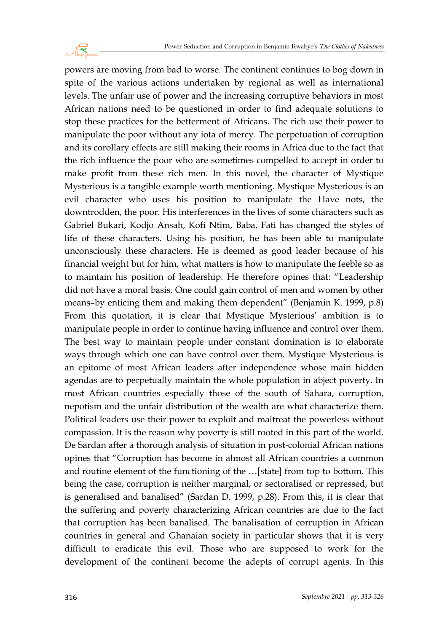

powers are moving from bad to worse. The continent continues to bog down in spite of the various actions undertaken by regional as well as international levels. The unfair use of power and the increasing corruptive behaviors in most African nations need to be questioned in order to find adequate solutions to stop these practices for the betterment of Africans. The rich use their power to manipulate the poor without any iota of mercy. The perpetuation of corruption and its corollary effects are still making their rooms in Africa due to the fact that the rich influence the poor who are sometimes compelled to accept in order to make profit from these rich men. In this novel, the character of Mystique Mysterious is a tangible example worth mentioning. Mystique Mysterious is an evil character who uses his position to manipulate the Have nots, the downtrodden, the poor. His interferences in the lives of some characters such as Gabriel Bukari, Kodjo Ansah, Kofi Ntim, Baba, Fati has changed the styles of life of these characters. Using his position, he has been able to manipulate unconsciously these characters. He is deemed as good leader because of his financial weight but for him, what matters is how to manipulate the feeble so as to maintain his position of leadership. He therefore opines that: "Leadership did not have a moral basis. One could gain control of men and women by other means–by enticing them and making them dependent" (Benjamin K. 1999, p.8) From this quotation, it is clear that Mystique Mysterious' ambition is to manipulate people in order to continue having influence and control over them. The best way to maintain people under constant domination is to elaborate ways through which one can have control over them. Mystique Mysterious is an epitome of most African leaders after independence whose main hidden agendas are to perpetually maintain the whole population in abject poverty. In most African countries especially those of the south of Sahara, corruption, nepotism and the unfair distribution of the wealth are what characterize them. Political leaders use their power to exploit and maltreat the powerless without compassion. It is the reason why poverty is still rooted in this part of the world. De Sardan after a thorough analysis of situation in post-colonial African nations opines that "Corruption has become in almost all African countries a common and routine element of the functioning of the …[state] from top to bottom. This being the case, corruption is neither marginal, or sectoralised or repressed, but is generalised and banalised" (Sardan D. 1999, p.28). From this, it is clear that the suffering and poverty characterizing African countries are due to the fact that corruption has been banalised. The banalisation of corruption in African countries in general and Ghanaian society in particular shows that it is very difficult to eradicate this evil. Those who are supposed to work for the development of the continent become the adepts of corrupt agents. In this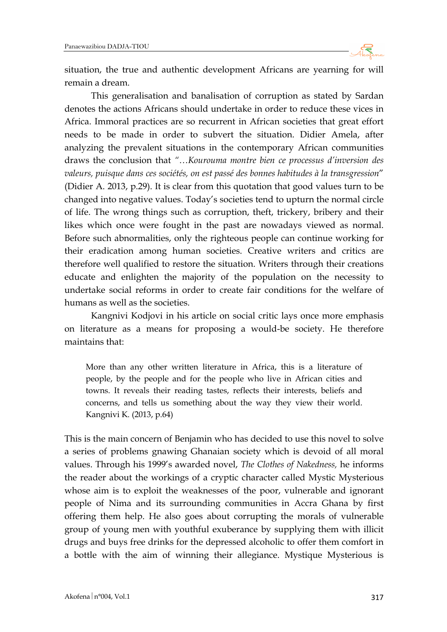

situation, the true and authentic development Africans are yearning for will remain a dream.

This generalisation and banalisation of corruption as stated by Sardan denotes the actions Africans should undertake in order to reduce these vices in Africa. Immoral practices are so recurrent in African societies that great effort needs to be made in order to subvert the situation. Didier Amela, after analyzing the prevalent situations in the contemporary African communities draws the conclusion that *"…Kourouma montre bien ce processus d'inversion des valeurs, puisque dans ces sociétés, on est passé des bonnes habitudes à la transgression*" (Didier A. 2013, p.29). It is clear from this quotation that good values turn to be changed into negative values. Today's societies tend to upturn the normal circle of life. The wrong things such as corruption, theft, trickery, bribery and their likes which once were fought in the past are nowadays viewed as normal. Before such abnormalities, only the righteous people can continue working for their eradication among human societies. Creative writers and critics are therefore well qualified to restore the situation. Writers through their creations educate and enlighten the majority of the population on the necessity to undertake social reforms in order to create fair conditions for the welfare of humans as well as the societies.

Kangnivi Kodjovi in his article on social critic lays once more emphasis on literature as a means for proposing a would-be society. He therefore maintains that:

More than any other written literature in Africa, this is a literature of people, by the people and for the people who live in African cities and towns. It reveals their reading tastes, reflects their interests, beliefs and concerns, and tells us something about the way they view their world. Kangnivi K. (2013, p.64)

This is the main concern of Benjamin who has decided to use this novel to solve a series of problems gnawing Ghanaian society which is devoid of all moral values. Through his 1999's awarded novel, *The Clothes of Nakedness,* he informs the reader about the workings of a cryptic character called Mystic Mysterious whose aim is to exploit the weaknesses of the poor, vulnerable and ignorant people of Nima and its surrounding communities in Accra Ghana by first offering them help. He also goes about corrupting the morals of vulnerable group of young men with youthful exuberance by supplying them with illicit drugs and buys free drinks for the depressed alcoholic to offer them comfort in a bottle with the aim of winning their allegiance. Mystique Mysterious is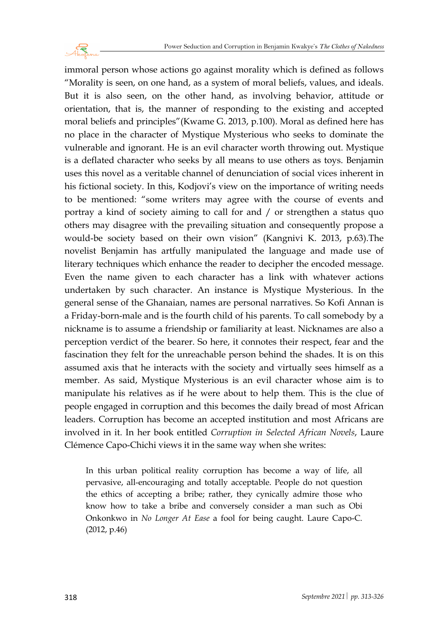

immoral person whose actions go against morality which is defined as follows "Morality is seen, on one hand, as a system of moral beliefs, values, and ideals. But it is also seen, on the other hand, as involving behavior, attitude or orientation, that is, the manner of responding to the existing and accepted moral beliefs and principles"(Kwame G. 2013, p.100). Moral as defined here has no place in the character of Mystique Mysterious who seeks to dominate the vulnerable and ignorant. He is an evil character worth throwing out. Mystique is a deflated character who seeks by all means to use others as toys. Benjamin uses this novel as a veritable channel of denunciation of social vices inherent in his fictional society. In this, Kodjovi's view on the importance of writing needs to be mentioned: "some writers may agree with the course of events and portray a kind of society aiming to call for and / or strengthen a status quo others may disagree with the prevailing situation and consequently propose a would-be society based on their own vision" (Kangnivi K. 2013, p.63).The novelist Benjamin has artfully manipulated the language and made use of literary techniques which enhance the reader to decipher the encoded message. Even the name given to each character has a link with whatever actions undertaken by such character. An instance is Mystique Mysterious. In the general sense of the Ghanaian, names are personal narratives. So Kofi Annan is a Friday-born-male and is the fourth child of his parents. To call somebody by a nickname is to assume a friendship or familiarity at least. Nicknames are also a perception verdict of the bearer. So here, it connotes their respect, fear and the fascination they felt for the unreachable person behind the shades. It is on this assumed axis that he interacts with the society and virtually sees himself as a member. As said, Mystique Mysterious is an evil character whose aim is to manipulate his relatives as if he were about to help them. This is the clue of people engaged in corruption and this becomes the daily bread of most African leaders. Corruption has become an accepted institution and most Africans are involved in it. In her book entitled *Corruption in Selected African Novels*, Laure Clémence Capo-Chichi views it in the same way when she writes:

In this urban political reality corruption has become a way of life, all pervasive, all-encouraging and totally acceptable. People do not question the ethics of accepting a bribe; rather, they cynically admire those who know how to take a bribe and conversely consider a man such as Obi Onkonkwo in *No Longer At Ease* a fool for being caught. Laure Capo-C. (2012, p.46)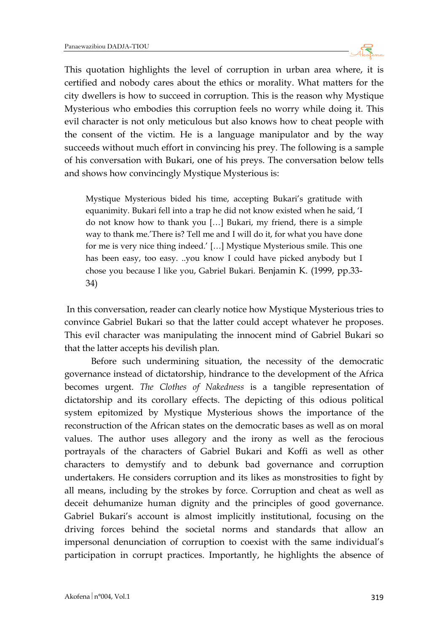

This quotation highlights the level of corruption in urban area where, it is certified and nobody cares about the ethics or morality. What matters for the city dwellers is how to succeed in corruption. This is the reason why Mystique Mysterious who embodies this corruption feels no worry while doing it. This evil character is not only meticulous but also knows how to cheat people with the consent of the victim. He is a language manipulator and by the way succeeds without much effort in convincing his prey. The following is a sample of his conversation with Bukari, one of his preys. The conversation below tells and shows how convincingly Mystique Mysterious is:

Mystique Mysterious bided his time, accepting Bukari's gratitude with equanimity. Bukari fell into a trap he did not know existed when he said, 'I do not know how to thank you […] Bukari, my friend, there is a simple way to thank me.'There is? Tell me and I will do it, for what you have done for me is very nice thing indeed.' […] Mystique Mysterious smile. This one has been easy, too easy. ..you know I could have picked anybody but I chose you because I like you, Gabriel Bukari. Benjamin K. (1999, pp.33- 34)

In this conversation, reader can clearly notice how Mystique Mysterious tries to convince Gabriel Bukari so that the latter could accept whatever he proposes. This evil character was manipulating the innocent mind of Gabriel Bukari so that the latter accepts his devilish plan.

Before such undermining situation, the necessity of the democratic governance instead of dictatorship, hindrance to the development of the Africa becomes urgent. *The Clothes of Nakedness* is a tangible representation of dictatorship and its corollary effects. The depicting of this odious political system epitomized by Mystique Mysterious shows the importance of the reconstruction of the African states on the democratic bases as well as on moral values. The author uses allegory and the irony as well as the ferocious portrayals of the characters of Gabriel Bukari and Koffi as well as other characters to demystify and to debunk bad governance and corruption undertakers. He considers corruption and its likes as monstrosities to fight by all means, including by the strokes by force. Corruption and cheat as well as deceit dehumanize human dignity and the principles of good governance. Gabriel Bukari's account is almost implicitly institutional, focusing on the driving forces behind the societal norms and standards that allow an impersonal denunciation of corruption to coexist with the same individual's participation in corrupt practices. Importantly, he highlights the absence of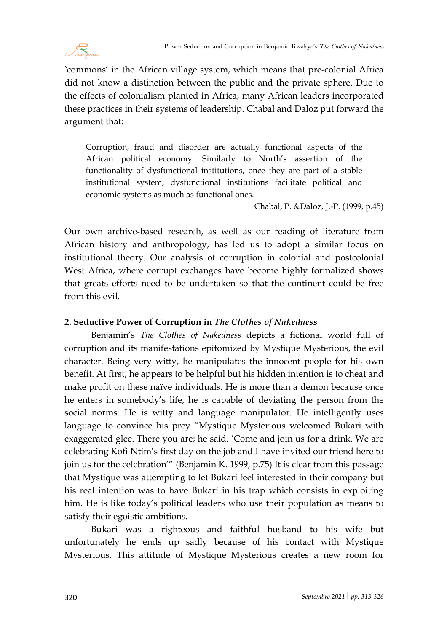

'commons' in the African village system, which means that pre-colonial Africa did not know a distinction between the public and the private sphere. Due to the effects of colonialism planted in Africa, many African leaders incorporated these practices in their systems of leadership. Chabal and Daloz put forward the argument that:

Corruption, fraud and disorder are actually functional aspects of the African political economy. Similarly to North's assertion of the functionality of dysfunctional institutions, once they are part of a stable institutional system, dysfunctional institutions facilitate political and economic systems as much as functional ones.

Chabal, P. &Daloz, J.-P. (1999, p.45)

Our own archive-based research, as well as our reading of literature from African history and anthropology, has led us to adopt a similar focus on institutional theory. Our analysis of corruption in colonial and postcolonial West Africa, where corrupt exchanges have become highly formalized shows that greats efforts need to be undertaken so that the continent could be free from this evil.

## **2. Seductive Power of Corruption in** *The Clothes of Nakedness*

Benjamin's *The Clothes of Nakedness* depicts a fictional world full of corruption and its manifestations epitomized by Mystique Mysterious, the evil character. Being very witty, he manipulates the innocent people for his own benefit. At first, he appears to be helpful but his hidden intention is to cheat and make profit on these naïve individuals. He is more than a demon because once he enters in somebody's life, he is capable of deviating the person from the social norms. He is witty and language manipulator. He intelligently uses language to convince his prey "Mystique Mysterious welcomed Bukari with exaggerated glee. There you are; he said. 'Come and join us for a drink. We are celebrating Kofi Ntim's first day on the job and I have invited our friend here to join us for the celebration'" (Benjamin K. 1999, p.75) It is clear from this passage that Mystique was attempting to let Bukari feel interested in their company but his real intention was to have Bukari in his trap which consists in exploiting him. He is like today's political leaders who use their population as means to satisfy their egoistic ambitions.

Bukari was a righteous and faithful husband to his wife but unfortunately he ends up sadly because of his contact with Mystique Mysterious. This attitude of Mystique Mysterious creates a new room for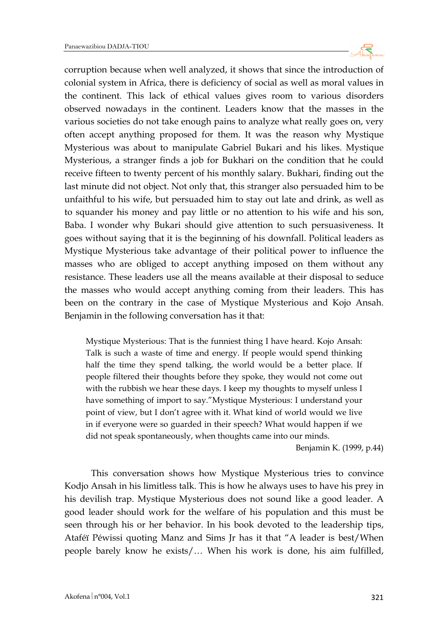

corruption because when well analyzed, it shows that since the introduction of colonial system in Africa, there is deficiency of social as well as moral values in the continent. This lack of ethical values gives room to various disorders observed nowadays in the continent. Leaders know that the masses in the various societies do not take enough pains to analyze what really goes on, very often accept anything proposed for them. It was the reason why Mystique Mysterious was about to manipulate Gabriel Bukari and his likes. Mystique Mysterious, a stranger finds a job for Bukhari on the condition that he could receive fifteen to twenty percent of his monthly salary. Bukhari, finding out the last minute did not object. Not only that, this stranger also persuaded him to be unfaithful to his wife, but persuaded him to stay out late and drink, as well as to squander his money and pay little or no attention to his wife and his son, Baba. I wonder why Bukari should give attention to such persuasiveness. It goes without saying that it is the beginning of his downfall. Political leaders as Mystique Mysterious take advantage of their political power to influence the masses who are obliged to accept anything imposed on them without any resistance. These leaders use all the means available at their disposal to seduce the masses who would accept anything coming from their leaders. This has been on the contrary in the case of Mystique Mysterious and Kojo Ansah. Benjamin in the following conversation has it that:

Mystique Mysterious: That is the funniest thing I have heard. Kojo Ansah: Talk is such a waste of time and energy. If people would spend thinking half the time they spend talking, the world would be a better place. If people filtered their thoughts before they spoke, they would not come out with the rubbish we hear these days. I keep my thoughts to myself unless I have something of import to say."Mystique Mysterious: I understand your point of view, but I don't agree with it. What kind of world would we live in if everyone were so guarded in their speech? What would happen if we did not speak spontaneously, when thoughts came into our minds.

Benjamin K. (1999, p.44)

This conversation shows how Mystique Mysterious tries to convince Kodjo Ansah in his limitless talk. This is how he always uses to have his prey in his devilish trap. Mystique Mysterious does not sound like a good leader. A good leader should work for the welfare of his population and this must be seen through his or her behavior. In his book devoted to the leadership tips, Ataféï Péwissi quoting Manz and Sims Jr has it that "A leader is best/When people barely know he exists/… When his work is done, his aim fulfilled,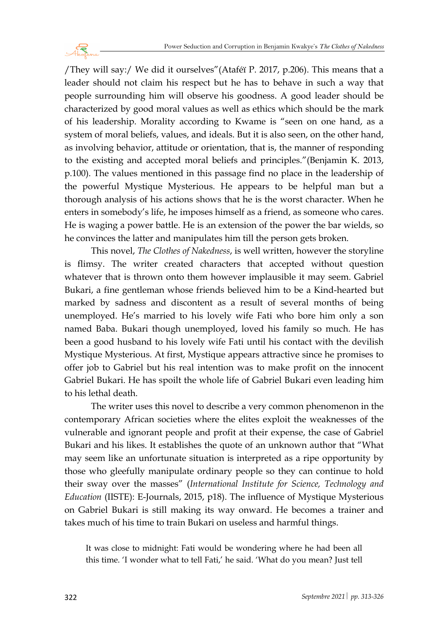

/They will say:/ We did it ourselves"(Ataféï P. 2017, p.206). This means that a leader should not claim his respect but he has to behave in such a way that people surrounding him will observe his goodness. A good leader should be characterized by good moral values as well as ethics which should be the mark of his leadership. Morality according to Kwame is "seen on one hand, as a system of moral beliefs, values, and ideals. But it is also seen, on the other hand, as involving behavior, attitude or orientation, that is, the manner of responding to the existing and accepted moral beliefs and principles."(Benjamin K. 2013, p.100). The values mentioned in this passage find no place in the leadership of the powerful Mystique Mysterious. He appears to be helpful man but a thorough analysis of his actions shows that he is the worst character. When he enters in somebody's life, he imposes himself as a friend, as someone who cares. He is waging a power battle. He is an extension of the power the bar wields, so he convinces the latter and manipulates him till the person gets broken.

This novel, *The Clothes of Nakedness*, is well written, however the storyline is flimsy. The writer created characters that accepted without question whatever that is thrown onto them however implausible it may seem. Gabriel Bukari, a fine gentleman whose friends believed him to be a Kind-hearted but marked by sadness and discontent as a result of several months of being unemployed. He's married to his lovely wife Fati who bore him only a son named Baba. Bukari though unemployed, loved his family so much. He has been a good husband to his lovely wife Fati until his contact with the devilish Mystique Mysterious. At first, Mystique appears attractive since he promises to offer job to Gabriel but his real intention was to make profit on the innocent Gabriel Bukari. He has spoilt the whole life of Gabriel Bukari even leading him to his lethal death.

The writer uses this novel to describe a very common phenomenon in the contemporary African societies where the elites exploit the weaknesses of the vulnerable and ignorant people and profit at their expense, the case of Gabriel Bukari and his likes. It establishes the quote of an unknown author that "What may seem like an unfortunate situation is interpreted as a ripe opportunity by those who gleefully manipulate ordinary people so they can continue to hold their sway over the masses" (*International Institute for Science, Technology and Education* (IISTE): E-Journals, 2015, p18). The influence of Mystique Mysterious on Gabriel Bukari is still making its way onward. He becomes a trainer and takes much of his time to train Bukari on useless and harmful things.

It was close to midnight: Fati would be wondering where he had been all this time. 'I wonder what to tell Fati,' he said. 'What do you mean? Just tell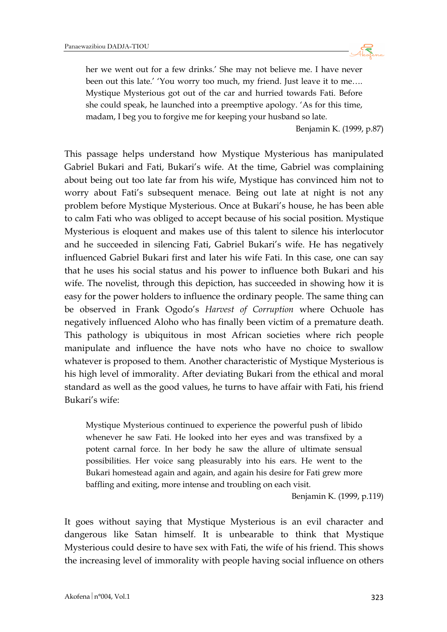

her we went out for a few drinks.' She may not believe me. I have never been out this late.' 'You worry too much, my friend. Just leave it to me…. Mystique Mysterious got out of the car and hurried towards Fati. Before she could speak, he launched into a preemptive apology. 'As for this time, madam, I beg you to forgive me for keeping your husband so late.

Benjamin K. (1999, p.87)

This passage helps understand how Mystique Mysterious has manipulated Gabriel Bukari and Fati, Bukari's wife. At the time, Gabriel was complaining about being out too late far from his wife, Mystique has convinced him not to worry about Fati's subsequent menace. Being out late at night is not any problem before Mystique Mysterious. Once at Bukari's house, he has been able to calm Fati who was obliged to accept because of his social position. Mystique Mysterious is eloquent and makes use of this talent to silence his interlocutor and he succeeded in silencing Fati, Gabriel Bukari's wife. He has negatively influenced Gabriel Bukari first and later his wife Fati. In this case, one can say that he uses his social status and his power to influence both Bukari and his wife. The novelist, through this depiction, has succeeded in showing how it is easy for the power holders to influence the ordinary people. The same thing can be observed in Frank Ogodo's *Harvest of Corruption* where Ochuole has negatively influenced Aloho who has finally been victim of a premature death. This pathology is ubiquitous in most African societies where rich people manipulate and influence the have nots who have no choice to swallow whatever is proposed to them. Another characteristic of Mystique Mysterious is his high level of immorality. After deviating Bukari from the ethical and moral standard as well as the good values, he turns to have affair with Fati, his friend Bukari's wife:

Mystique Mysterious continued to experience the powerful push of libido whenever he saw Fati. He looked into her eyes and was transfixed by a potent carnal force. In her body he saw the allure of ultimate sensual possibilities. Her voice sang pleasurably into his ears. He went to the Bukari homestead again and again, and again his desire for Fati grew more baffling and exiting, more intense and troubling on each visit.

Benjamin K. (1999, p.119)

It goes without saying that Mystique Mysterious is an evil character and dangerous like Satan himself. It is unbearable to think that Mystique Mysterious could desire to have sex with Fati, the wife of his friend. This shows the increasing level of immorality with people having social influence on others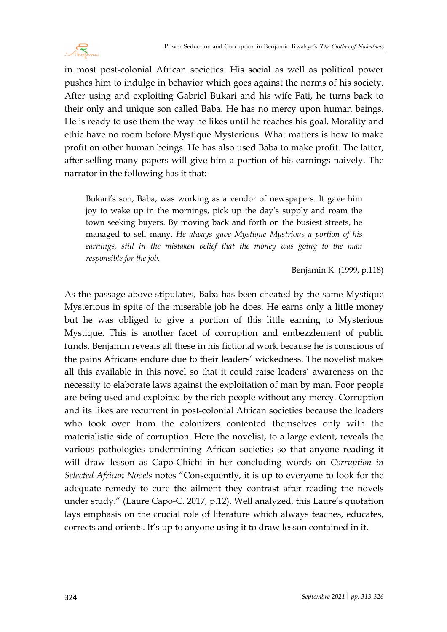

in most post-colonial African societies. His social as well as political power pushes him to indulge in behavior which goes against the norms of his society. After using and exploiting Gabriel Bukari and his wife Fati, he turns back to their only and unique son called Baba. He has no mercy upon human beings. He is ready to use them the way he likes until he reaches his goal. Morality and ethic have no room before Mystique Mysterious. What matters is how to make profit on other human beings. He has also used Baba to make profit. The latter, after selling many papers will give him a portion of his earnings naively. The narrator in the following has it that:

Bukari's son, Baba, was working as a vendor of newspapers. It gave him joy to wake up in the mornings, pick up the day's supply and roam the town seeking buyers. By moving back and forth on the busiest streets, he managed to sell many. *He always gave Mystique Mystrious a portion of his earnings, still in the mistaken belief that the money was going to the man responsible for the job*.

Benjamin K. (1999, p.118)

As the passage above stipulates, Baba has been cheated by the same Mystique Mysterious in spite of the miserable job he does. He earns only a little money but he was obliged to give a portion of this little earning to Mysterious Mystique. This is another facet of corruption and embezzlement of public funds. Benjamin reveals all these in his fictional work because he is conscious of the pains Africans endure due to their leaders' wickedness. The novelist makes all this available in this novel so that it could raise leaders' awareness on the necessity to elaborate laws against the exploitation of man by man. Poor people are being used and exploited by the rich people without any mercy. Corruption and its likes are recurrent in post-colonial African societies because the leaders who took over from the colonizers contented themselves only with the materialistic side of corruption. Here the novelist, to a large extent, reveals the various pathologies undermining African societies so that anyone reading it will draw lesson as Capo-Chichi in her concluding words on *Corruption in Selected African Novels* notes "Consequently, it is up to everyone to look for the adequate remedy to cure the ailment they contrast after reading the novels under study." (Laure Capo-C. 2017, p.12). Well analyzed, this Laure's quotation lays emphasis on the crucial role of literature which always teaches, educates, corrects and orients. It's up to anyone using it to draw lesson contained in it.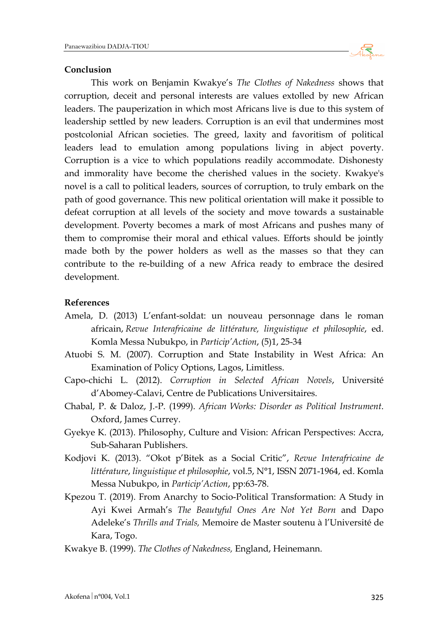

#### **Conclusion**

This work on Benjamin Kwakye's *The Clothes of Nakedness* shows that corruption, deceit and personal interests are values extolled by new African leaders. The pauperization in which most Africans live is due to this system of leadership settled by new leaders. Corruption is an evil that undermines most postcolonial African societies. The greed, laxity and favoritism of political leaders lead to emulation among populations living in abject poverty. Corruption is a vice to which populations readily accommodate. Dishonesty and immorality have become the cherished values in the society. Kwakye's novel is a call to political leaders, sources of corruption, to truly embark on the path of good governance. This new political orientation will make it possible to defeat corruption at all levels of the society and move towards a sustainable development. Poverty becomes a mark of most Africans and pushes many of them to compromise their moral and ethical values. Efforts should be jointly made both by the power holders as well as the masses so that they can contribute to the re-building of a new Africa ready to embrace the desired development.

## **References**

- Amela, D. (2013) L'enfant-soldat: un nouveau personnage dans le roman africain, *Revue Interafricaine de littérature, linguistique et philosophie*, ed. Komla Messa Nubukpo, in *Particip'Action*, (5)1, 25-34
- Atuobi S. M. (2007). Corruption and State Instability in West Africa: An Examination of Policy Options, Lagos, Limitless.
- Capo-chichi L. (2012). *Corruption in Selected African Novels*, Université d'Abomey-Calavi, Centre de Publications Universitaires.
- Chabal, P. & Daloz, J.-P. (1999). *African Works: Disorder as Political Instrument*. Oxford, James Currey.
- Gyekye K. (2013). Philosophy, Culture and Vision: African Perspectives: Accra, Sub-Saharan Publishers.
- Kodjovi K. (2013). "Okot p'Bitek as a Social Critic", *Revue Interafricaine de littérature*, *linguistique et philosophie*, vol.5, N°1, ISSN 2071-1964, ed. Komla Messa Nubukpo, in *Particip'Action*, pp:63-78.
- Kpezou T. (2019). From Anarchy to Socio-Political Transformation: A Study in Ayi Kwei Armah's *The Beautyful Ones Are Not Yet Born* and Dapo Adeleke's *Thrills and Trials,* Memoire de Master soutenu à l'Université de Kara, Togo.
- Kwakye B. (1999). *The Clothes of Nakedness,* England, Heinemann.